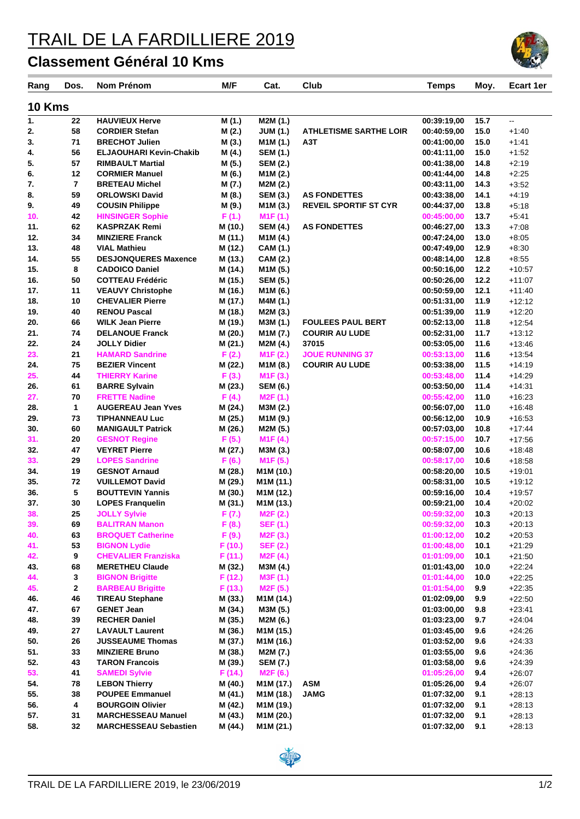## TRAIL DE LA FARDILLIERE 2019

## **Classement Général 10 Kms**

| Rang          | Dos.           | Nom Prénom                                   | M/F                | Cat.                             | Club                          | <b>Temps</b>               | Moy.         | <b>Ecart 1er</b>     |
|---------------|----------------|----------------------------------------------|--------------------|----------------------------------|-------------------------------|----------------------------|--------------|----------------------|
| <b>10 Kms</b> |                |                                              |                    |                                  |                               |                            |              |                      |
| 1.            | 22             | <b>HAUVIEUX Herve</b>                        | M(1.)              | M2M (1.)                         |                               | 00:39:19,00                | 15.7         | цц.                  |
| 2.            | 58             | <b>CORDIER Stefan</b>                        | M (2.)             | <b>JUM (1.)</b>                  | <b>ATHLETISME SARTHE LOIR</b> | 00:40:59,00                | 15.0         | $+1:40$              |
| 3.            | 71             | <b>BRECHOT Julien</b>                        | M (3.)             | M1M (1.)                         | АЗТ                           | 00:41:00,00                | 15.0         | $+1.41$              |
| 4.            | 56             | <b>ELJAOUHARI Kevin-Chakib</b>               | M (4.)             | <b>SEM (1.)</b>                  |                               | 00:41:11,00                | 15.0         | $+1:52$              |
| 5.            | 57             | <b>RIMBAULT Martial</b>                      | M (5.)             | <b>SEM (2.)</b>                  |                               | 00:41:38,00                | 14.8         | $+2:19$              |
| 6.            | 12             | <b>CORMIER Manuel</b>                        | M (6.)             | M <sub>1</sub> M <sub>(2.)</sub> |                               | 00:41:44,00                | 14.8         | $+2:25$              |
| 7.            | $\overline{7}$ | <b>BRETEAU Michel</b>                        | M (7.)             | M2M (2.)                         |                               | 00:43:11,00                | 14.3         | $+3.52$              |
| 8.            | 59             | <b>ORLOWSKI David</b>                        | M (8.)             | <b>SEM (3.)</b>                  | <b>AS FONDETTES</b>           | 00:43:38,00                | 14.1         | $+4:19$              |
| 9.            | 49             | <b>COUSIN Philippe</b>                       | M (9.)             | M <sub>1</sub> M <sub>(3.)</sub> | <b>REVEIL SPORTIF ST CYR</b>  | 00:44:37,00                | 13.8         | $+5:18$              |
| 10.           | 42             | <b>HINSINGER Sophie</b>                      | F(1.)              | M <sub>1</sub> F(1.)             |                               | 00:45:00,00                | 13.7         | $+5:41$              |
| 11.           | 62             | <b>KASPRZAK Remi</b>                         | M (10.)            | <b>SEM (4.)</b>                  | <b>AS FONDETTES</b>           | 00:46:27,00                | 13.3         | $+7:08$              |
| 12.           | 34             | <b>MINZIERE Franck</b>                       | M (11.)            | M <sub>1</sub> M <sub>(4.)</sub> |                               | 00:47:24,00                | 13.0         | $+8:05$              |
| 13.           | 48             | <b>VIAL Mathieu</b>                          | M (12.)            | CAM (1.)                         |                               | 00:47:49,00                | 12.9         | $+8:30$              |
| 14.           | 55             | <b>DESJONQUERES Maxence</b>                  | M (13.)            | <b>CAM (2.)</b>                  |                               | 00:48:14,00                | 12.8         | $+8.55$              |
| 15.           | 8              | <b>CADOICO Daniel</b>                        | M (14.)            | M <sub>1</sub> M <sub>(5.)</sub> |                               | 00:50:16,00                | 12.2         | $+10.57$             |
| 16.           | 50             | <b>COTTEAU Frédéric</b>                      | M (15.)            | <b>SEM (5.)</b>                  |                               | 00:50:26,00                | 12.2         | $+11:07$             |
| 17.           | 11             | <b>VEAUVY Christophe</b>                     | M (16.)            | M1M (6.)                         |                               | 00:50:59,00                | 12.1         | $+11:40$             |
| 18.           | 10             | <b>CHEVALIER Pierre</b>                      | M (17.)            | M4M (1.)                         |                               | 00:51:31,00                | 11.9         | $+12:12$             |
| 19.           | 40             | <b>RENOU Pascal</b>                          | M (18.)            | M2M (3.)                         |                               | 00:51:39.00                | 11.9         | $+12:20$             |
| 20.           | 66             | <b>WILK Jean Pierre</b>                      | M (19.)            | M3M (1.)                         | <b>FOULEES PAUL BERT</b>      | 00:52:13,00                | 11.8         | $+12:54$             |
| 21.           | 74             | <b>DELANOUE Franck</b>                       | M (20.)            | M1M (7.)                         | <b>COURIR AU LUDE</b>         | 00:52:31,00                | 11.7         | $+13:12$             |
| 22.           | 24             | <b>JOLLY Didier</b>                          | M (21.)            | M2M (4.)                         | 37015                         | 00:53:05,00                | 11.6         | $+13.46$             |
| 23.           | 21             | <b>HAMARD Sandrine</b>                       | F(2.)              | M1F(2.)                          | <b>JOUE RUNNING 37</b>        | 00:53:13,00                | 11.6         | $+13.54$             |
| 24.           | 75             | <b>BEZIER Vincent</b>                        | M (22.)            | M <sub>1</sub> M <sub>(8.)</sub> | <b>COURIR AU LUDE</b>         | 00:53:38,00                | 11.5         | $+14.19$             |
| 25.           | 44             | <b>THIERRY Karine</b>                        | F(3.)              | M1F(3.)                          |                               | 00:53:48,00                | 11.4         | $+14.29$             |
| 26.<br>27.    | 61<br>70       | <b>BARRE Sylvain</b><br><b>FRETTE Nadine</b> | M (23.)            | <b>SEM (6.)</b>                  |                               | 00:53:50,00                | 11.4<br>11.0 | $+14.31$             |
| 28.           | 1              | <b>AUGEREAU Jean Yves</b>                    | F(4.)<br>M (24.)   | M <sub>2</sub> F(1.)<br>M3M (2.) |                               | 00:55:42,00<br>00:56:07,00 | 11.0         | $+16.23$<br>$+16.48$ |
| 29.           | 73             | <b>TIPHANNEAU Luc</b>                        |                    |                                  |                               | 00:56:12,00                | 10.9         | $+16.53$             |
| 30.           | 60             | <b>MANIGAULT Patrick</b>                     | M (25.)<br>M (26.) | M1M (9.)<br>M2M (5.)             |                               | 00:57:03,00                | 10.8         | $+17:44$             |
| 31.           | 20             | <b>GESNOT Regine</b>                         | F(5.)              | M1F(4.)                          |                               | 00:57:15,00                | 10.7         | $+17:56$             |
| 32.           | 47             | <b>VEYRET Pierre</b>                         | M (27.)            | M3M (3.)                         |                               | 00:58:07,00                | 10.6         | $+18.48$             |
| 33.           | 29             | <b>LOPES Sandrine</b>                        | F(6.)              | M <sub>1</sub> F(5.)             |                               | 00:58:17,00                | 10.6         | $+18.58$             |
| 34.           | 19             | <b>GESNOT Arnaud</b>                         | M (28.)            | M1M (10.)                        |                               | 00:58:20,00                | 10.5         | $+19:01$             |
| 35.           | 72             | <b>VUILLEMOT David</b>                       | M (29.)            | M <sub>1</sub> M (11.)           |                               | 00:58:31,00                | 10.5         | $+19:12$             |
| 36.           | 5              | <b>BOUTTEVIN Yannis</b>                      | M (30.)            | M1M (12.)                        |                               | 00:59:16,00                | 10.4         | $+19:57$             |
| 37.           | 30             | <b>LOPES Franquelin</b>                      | M (31.)            | M <sub>1</sub> M (13.)           |                               | 00:59:21,00                | 10.4         | $+20:02$             |
| 38.           | 25             | <b>JOLLY Sylvie</b>                          | F (7.)             | M <sub>2</sub> F (2.)            |                               | 00:59:32,00                | 10.3         | $+20:13$             |
| 39.           | 69             | <b>BALITRAN Manon</b>                        | F(8.)              | <b>SEF (1.)</b>                  |                               | 00:59:32,00                | 10.3         | $+20:13$             |
| 40.           | 63             | <b>BROQUET Catherine</b>                     | F(9.)              | M <sub>2</sub> F (3.)            |                               | 01:00:12,00                | 10.2         | $+20.53$             |
| 41.           | 53             | <b>BIGNON Lydie</b>                          | F (10.)            | <b>SEF (2.)</b>                  |                               | 01:00:48,00                | 10.1         | $+21:29$             |
| 42.           | 9              | <b>CHEVALIER Franziska</b>                   | F(11.)             | M2F(4.)                          |                               | 01:01:09,00                | 10.1         | $+21:50$             |
| 43.           | 68             | <b>MERETHEU Claude</b>                       | M (32.)            | M3M (4.)                         |                               | 01:01:43,00                | 10.0         | $+22:24$             |
| 44.           | 3              | <b>BIGNON Brigitte</b>                       | F(12.)             | M3F (1.)                         |                               | 01:01:44,00                | 10.0         | $+22:25$             |
| 45.           | 2              | <b>BARBEAU Brigitte</b>                      | F(13.)             | M <sub>2</sub> F (5.)            |                               | 01:01:54,00                | 9.9          | $+22:35$             |
| 46.           | 46             | <b>TIREAU Stephane</b>                       | M (33.)            | M <sub>1</sub> M (14.)           |                               | 01:02:09,00                | 9.9          | $+22:50$             |
| 47.           | 67             | <b>GENET Jean</b>                            | M (34.)            | M3M (5.)                         |                               | 01:03:00.00                | 9.8          | $+23.41$             |
| 48.           | 39             | <b>RECHER Daniel</b>                         | M (35.)            | M2M (6.)                         |                               | 01:03:23,00                | 9.7          | $+24:04$             |
| 49.           | 27             | <b>LAVAULT Laurent</b>                       | M (36.)            | M <sub>1</sub> M (15.)           |                               | 01:03:45,00                | 9.6          | $+24:26$             |
| 50.           | 26             | <b>JUSSEAUME Thomas</b>                      | M (37.)            | M <sub>1</sub> M (16.)           |                               | 01:03:52,00                | 9.6          | $+24.33$             |
| 51.           | 33             | <b>MINZIERE Bruno</b>                        | M (38.)            | M2M (7.)                         |                               | 01:03:55,00                | 9.6          | $+24.36$             |
| 52.           | 43             | <b>TARON Francois</b>                        | M (39.)            | <b>SEM (7.)</b>                  |                               | 01:03:58,00                | 9.6          | $+24:39$             |
| 53.           | 41             | <b>SAMEDI Sylvie</b>                         | F (14.)            | M2F (6.)                         |                               | 01:05:26,00                | 9.4          | $+26:07$             |
| 54.           | 78             | <b>LEBON Thierry</b>                         | M (40.)            | M <sub>1</sub> M (17.)           | <b>ASM</b>                    | 01:05:26,00                | 9.4          | $+26:07$             |
| 55.           | 38             | <b>POUPEE Emmanuel</b>                       | M (41.)            | M <sub>1</sub> M (18.)           | <b>JAMG</b>                   | 01:07:32,00                | 9.1          | $+28:13$             |
| 56.           | 4              | <b>BOURGOIN Olivier</b>                      | M (42.)            | M1M (19.)                        |                               | 01:07:32,00                | 9.1          | $+28:13$             |
| 57.           | 31             | <b>MARCHESSEAU Manuel</b>                    | M (43.)            | M1M (20.)                        |                               | 01:07:32,00                | 9.1          | $+28:13$             |
| 58.           | 32             | <b>MARCHESSEAU Sebastien</b>                 | M (44.)            | M1M (21.)                        |                               | 01:07:32,00                | 9.1          | $+28:13$             |
|               |                |                                              |                    |                                  |                               |                            |              |                      |